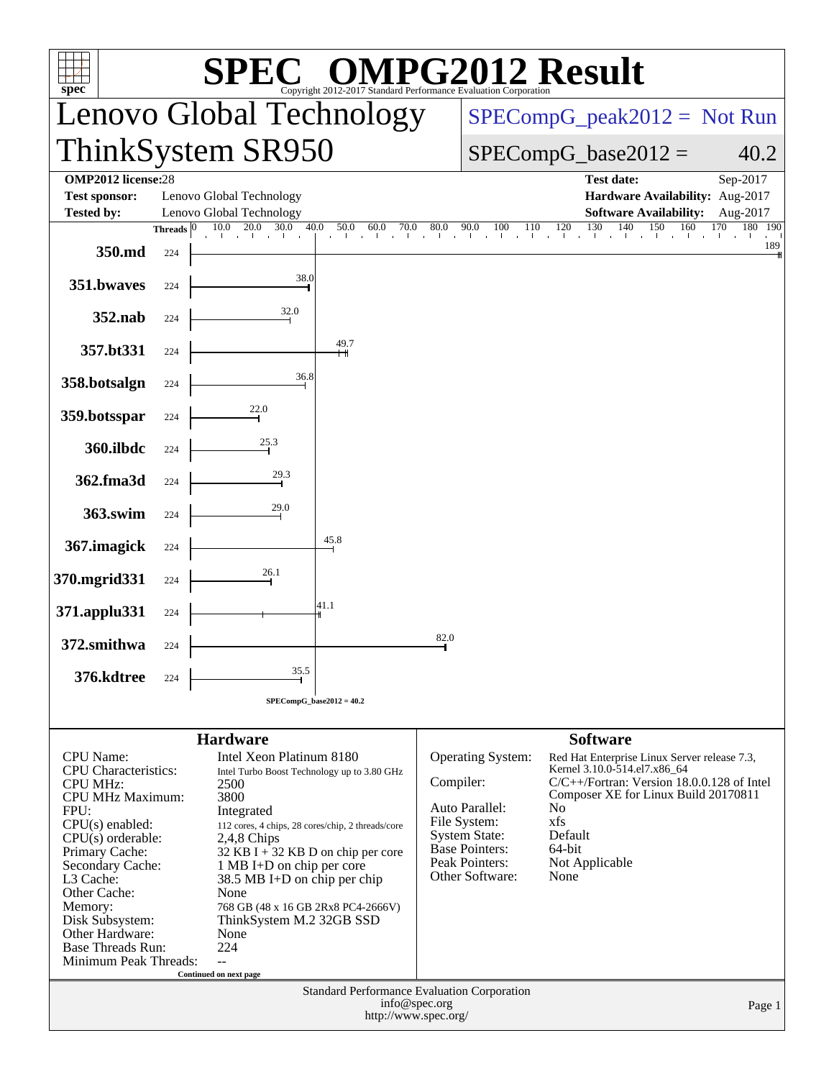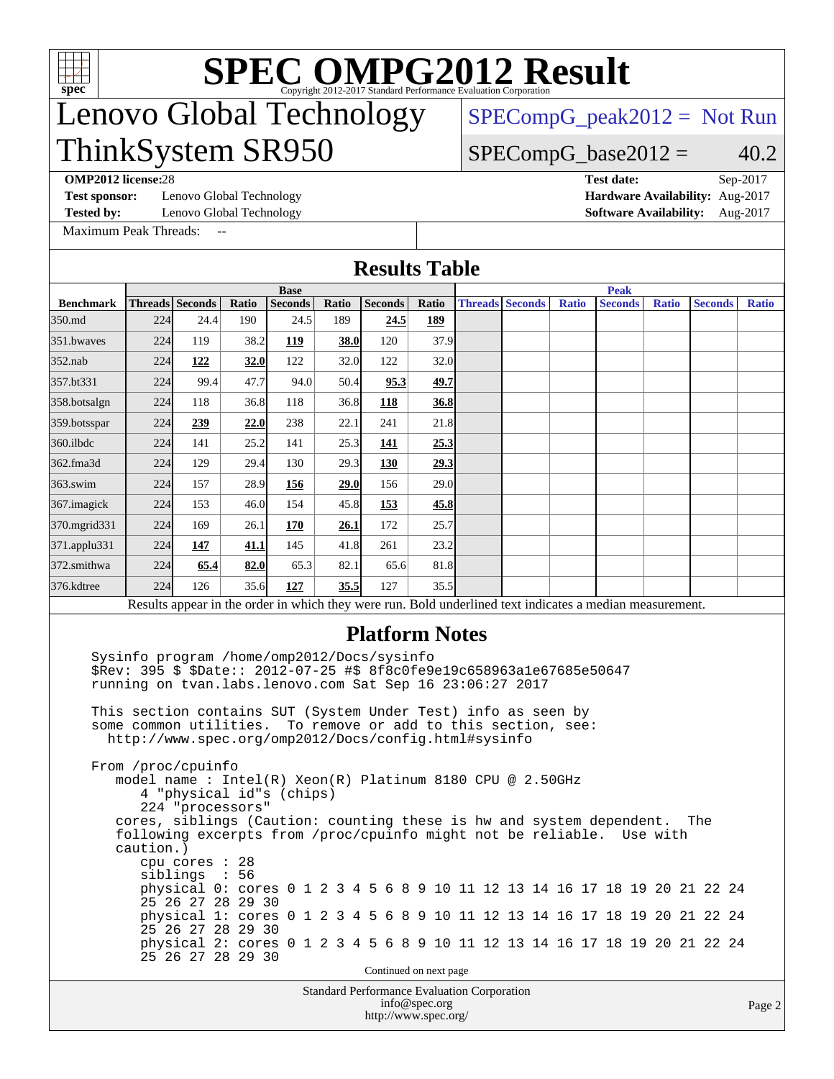

## Lenovo Global Technology ThinkSystem SR950

[SPECompG\\_peak2012 =](http://www.spec.org/auto/omp2012/Docs/result-fields.html#SPECompGpeak2012) Not Run

### $SPECompG_base2012 = 40.2$  $SPECompG_base2012 = 40.2$

**[OMP2012 license:](http://www.spec.org/auto/omp2012/Docs/result-fields.html#OMP2012license)**28 **[Test date:](http://www.spec.org/auto/omp2012/Docs/result-fields.html#Testdate)** Sep-2017

[Test sponsor:](http://www.spec.org/auto/omp2012/Docs/result-fields.html#Testsponsor) Lenovo Global Technology **[Hardware Availability:](http://www.spec.org/auto/omp2012/Docs/result-fields.html#HardwareAvailability)** Aug-2017

**[Tested by:](http://www.spec.org/auto/omp2012/Docs/result-fields.html#Testedby)** Lenovo Global Technology **[Software Availability:](http://www.spec.org/auto/omp2012/Docs/result-fields.html#SoftwareAvailability)** Aug-2017

[Maximum Peak Threads:](http://www.spec.org/auto/omp2012/Docs/result-fields.html#MaximumPeakThreads) --

**[Results Table](http://www.spec.org/auto/omp2012/Docs/result-fields.html#ResultsTable)**

|                  | <b>Base</b>                                                                                                                                                                                                                                                                                                                                                                                                            |                                                                                                 |       |                          |       |            |                                       | <b>Peak</b>                                 |                        |              |                                                                                                                                                                                                                                                                                                                |              |                |              |
|------------------|------------------------------------------------------------------------------------------------------------------------------------------------------------------------------------------------------------------------------------------------------------------------------------------------------------------------------------------------------------------------------------------------------------------------|-------------------------------------------------------------------------------------------------|-------|--------------------------|-------|------------|---------------------------------------|---------------------------------------------|------------------------|--------------|----------------------------------------------------------------------------------------------------------------------------------------------------------------------------------------------------------------------------------------------------------------------------------------------------------------|--------------|----------------|--------------|
| <b>Benchmark</b> | <b>Threads</b> Seconds                                                                                                                                                                                                                                                                                                                                                                                                 |                                                                                                 | Ratio | <b>Seconds</b>           | Ratio | Seconds    | Ratio                                 |                                             | <b>Threads Seconds</b> | <b>Ratio</b> | <b>Seconds</b>                                                                                                                                                                                                                                                                                                 | <b>Ratio</b> | <b>Seconds</b> | <b>Ratio</b> |
| 350.md           | 224                                                                                                                                                                                                                                                                                                                                                                                                                    | 24.4                                                                                            | 190   | 24.5                     | 189   | 24.5       | 189                                   |                                             |                        |              |                                                                                                                                                                                                                                                                                                                |              |                |              |
| 351.bwayes       | 224                                                                                                                                                                                                                                                                                                                                                                                                                    | 119                                                                                             | 38.2  | 119                      | 38.0  | 120        | 37.9                                  |                                             |                        |              |                                                                                                                                                                                                                                                                                                                |              |                |              |
| $352$ .nab       | 224                                                                                                                                                                                                                                                                                                                                                                                                                    | 122                                                                                             | 32.0  | 122                      | 32.0  | 122        | 32.0                                  |                                             |                        |              |                                                                                                                                                                                                                                                                                                                |              |                |              |
| 357.bt331        | 224                                                                                                                                                                                                                                                                                                                                                                                                                    | 99.4                                                                                            | 47.7  | 94.0                     | 50.4  | 95.3       | 49.7                                  |                                             |                        |              |                                                                                                                                                                                                                                                                                                                |              |                |              |
| 358.botsalgn     | 224                                                                                                                                                                                                                                                                                                                                                                                                                    | 118                                                                                             | 36.8  | 118                      | 36.8  | 118        | 36.8                                  |                                             |                        |              |                                                                                                                                                                                                                                                                                                                |              |                |              |
| 359.botsspar     | 224                                                                                                                                                                                                                                                                                                                                                                                                                    | 239                                                                                             | 22.0  | 238                      | 22.1  | 241        | 21.8                                  |                                             |                        |              |                                                                                                                                                                                                                                                                                                                |              |                |              |
| 360.ilbdc        | 224                                                                                                                                                                                                                                                                                                                                                                                                                    | 141                                                                                             | 25.2  | 141                      | 25.3  | 141        | 25.3                                  |                                             |                        |              |                                                                                                                                                                                                                                                                                                                |              |                |              |
| 362.fma3d        | 224                                                                                                                                                                                                                                                                                                                                                                                                                    | 129                                                                                             | 29.4  | 130                      | 29.3  | <b>130</b> | 29.3                                  |                                             |                        |              |                                                                                                                                                                                                                                                                                                                |              |                |              |
| $363$ .swim      | 224                                                                                                                                                                                                                                                                                                                                                                                                                    | 157                                                                                             | 28.9  | 156                      | 29.0  | 156        | 29.0                                  |                                             |                        |              |                                                                                                                                                                                                                                                                                                                |              |                |              |
| 367.imagick      | 224                                                                                                                                                                                                                                                                                                                                                                                                                    | 153                                                                                             | 46.0  | 154                      | 45.8  | 153        | 45.8                                  |                                             |                        |              |                                                                                                                                                                                                                                                                                                                |              |                |              |
| 370.mgrid331     | 224                                                                                                                                                                                                                                                                                                                                                                                                                    | 169                                                                                             | 26.1  | 170                      | 26.1  | 172        | 25.7                                  |                                             |                        |              |                                                                                                                                                                                                                                                                                                                |              |                |              |
| 371.applu331     | 224                                                                                                                                                                                                                                                                                                                                                                                                                    | 147                                                                                             | 41.1  | 145                      | 41.8  | 261        | 23.2                                  |                                             |                        |              |                                                                                                                                                                                                                                                                                                                |              |                |              |
| 372.smithwa      | 224                                                                                                                                                                                                                                                                                                                                                                                                                    | 65.4                                                                                            | 82.0  | 65.3                     | 82.1  | 65.6       | 81.8                                  |                                             |                        |              |                                                                                                                                                                                                                                                                                                                |              |                |              |
| 376.kdtree       | 224                                                                                                                                                                                                                                                                                                                                                                                                                    | 126                                                                                             | 35.6  | 127                      | 35.5  | 127        | 35.5                                  |                                             |                        |              |                                                                                                                                                                                                                                                                                                                |              |                |              |
|                  |                                                                                                                                                                                                                                                                                                                                                                                                                        |                                                                                                 |       |                          |       |            |                                       |                                             |                        |              | Results appear in the order in which they were run. Bold underlined text indicates a median measurement.                                                                                                                                                                                                       |              |                |              |
|                  | running on tvan.labs.lenovo.com Sat Sep 16 23:06:27 2017<br>This section contains SUT (System Under Test) info as seen by<br>some common utilities. To remove or add to this section, see:<br>http://www.spec.org/omp2012/Docs/config.html#sysinfo<br>From /proc/cpuinfo<br>model name: $Intel(R)$ Xeon $(R)$ Platinum 8180 CPU @ 2.50GHz<br>following excerpts from /proc/cpuinfo might not be reliable.<br>caution.) | 224 "processors"<br>cpu cores $: 28$<br>siblings : 56<br>25 26 27 28 29 30<br>25 26 27 28 29 30 |       | 4 "physical id"s (chips) |       |            |                                       |                                             |                        |              | cores, siblings (Caution: counting these is hw and system dependent.<br>physical 0: cores 0 1 2 3 4 5 6 8 9 10 11 12 13 14 16 17 18 19 20 21 22 24<br>physical 1: cores 0 1 2 3 4 5 6 8 9 10 11 12 13 14 16 17 18 19 20 21 22 24<br>physical 2: cores 0 1 2 3 4 5 6 8 9 10 11 12 13 14 16 17 18 19 20 21 22 24 | Use with     | The            |              |
|                  |                                                                                                                                                                                                                                                                                                                                                                                                                        | 25 26 27 28 29 30                                                                               |       |                          |       |            | Continued on next page                |                                             |                        |              |                                                                                                                                                                                                                                                                                                                |              |                |              |
|                  |                                                                                                                                                                                                                                                                                                                                                                                                                        |                                                                                                 |       |                          |       |            |                                       | Standard Performance Evaluation Corporation |                        |              |                                                                                                                                                                                                                                                                                                                |              |                |              |
|                  |                                                                                                                                                                                                                                                                                                                                                                                                                        |                                                                                                 |       |                          |       |            | info@spec.org<br>http://www.spec.org/ |                                             |                        |              |                                                                                                                                                                                                                                                                                                                |              |                | Page 2       |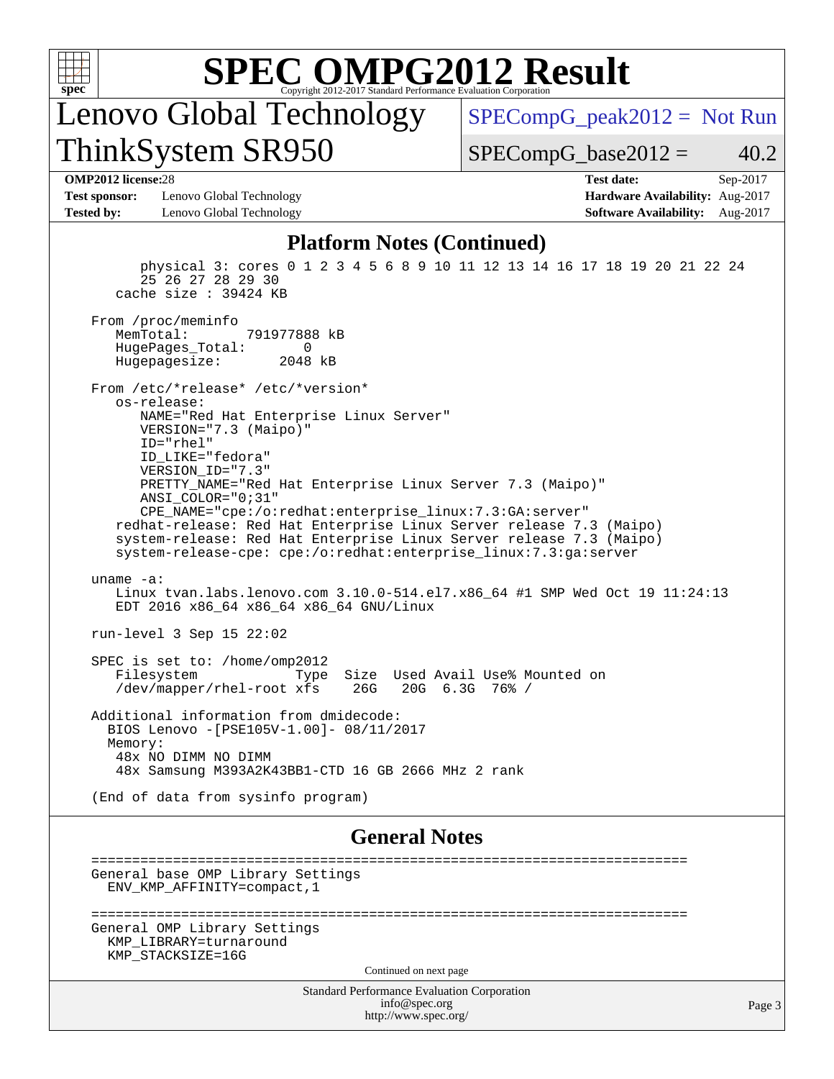

Lenovo Global Technology ThinkSystem SR950

 $SPECompG_peak2012 = Not Run$  $SPECompG_peak2012 = Not Run$ 

 $SPECompG_base2012 = 40.2$  $SPECompG_base2012 = 40.2$ 

### **[OMP2012 license:](http://www.spec.org/auto/omp2012/Docs/result-fields.html#OMP2012license)**28 **[Test date:](http://www.spec.org/auto/omp2012/Docs/result-fields.html#Testdate)** Sep-2017

**[Test sponsor:](http://www.spec.org/auto/omp2012/Docs/result-fields.html#Testsponsor)** Lenovo Global Technology **[Hardware Availability:](http://www.spec.org/auto/omp2012/Docs/result-fields.html#HardwareAvailability)** Aug-2017 **[Tested by:](http://www.spec.org/auto/omp2012/Docs/result-fields.html#Testedby)** Lenovo Global Technology **[Software Availability:](http://www.spec.org/auto/omp2012/Docs/result-fields.html#SoftwareAvailability)** Aug-2017

### **[Platform Notes \(Continued\)](http://www.spec.org/auto/omp2012/Docs/result-fields.html#PlatformNotes)**

 physical 3: cores 0 1 2 3 4 5 6 8 9 10 11 12 13 14 16 17 18 19 20 21 22 24 25 26 27 28 29 30 cache size : 39424 KB From /proc/meminfo<br>MemTotal: 791977888 kB HugePages\_Total: 0<br>Hugepagesize: 2048 kB Hugepagesize: From /etc/\*release\* /etc/\*version\* os-release: NAME="Red Hat Enterprise Linux Server" VERSION="7.3 (Maipo)" ID="rhel" ID\_LIKE="fedora" VERSION\_ID="7.3" PRETTY\_NAME="Red Hat Enterprise Linux Server 7.3 (Maipo)" ANSI\_COLOR="0;31" CPE\_NAME="cpe:/o:redhat:enterprise\_linux:7.3:GA:server" redhat-release: Red Hat Enterprise Linux Server release 7.3 (Maipo) system-release: Red Hat Enterprise Linux Server release 7.3 (Maipo) system-release-cpe: cpe:/o:redhat:enterprise\_linux:7.3:ga:server uname -a: Linux tvan.labs.lenovo.com 3.10.0-514.el7.x86\_64 #1 SMP Wed Oct 19 11:24:13 EDT 2016 x86\_64 x86\_64 x86\_64 GNU/Linux run-level 3 Sep 15 22:02 SPEC is set to: /home/omp2012 Filesystem Type Size Used Avail Use% Mounted on<br>
/dev/mapper/rhel-root xfs 26G 20G 6.3G 76% / /dev/mapper/rhel-root xfs Additional information from dmidecode: BIOS Lenovo -[PSE105V-1.00]- 08/11/2017 Memory: 48x NO DIMM NO DIMM 48x Samsung M393A2K43BB1-CTD 16 GB 2666 MHz 2 rank (End of data from sysinfo program)

### **[General Notes](http://www.spec.org/auto/omp2012/Docs/result-fields.html#GeneralNotes)**

```
 =========================================================================
 General base OMP Library Settings
   ENV_KMP_AFFINITY=compact,1
 =========================================================================
 General OMP Library Settings
   KMP_LIBRARY=turnaround
   KMP_STACKSIZE=16G
                                   Continued on next page
```
Standard Performance Evaluation Corporation [info@spec.org](mailto:info@spec.org) <http://www.spec.org/>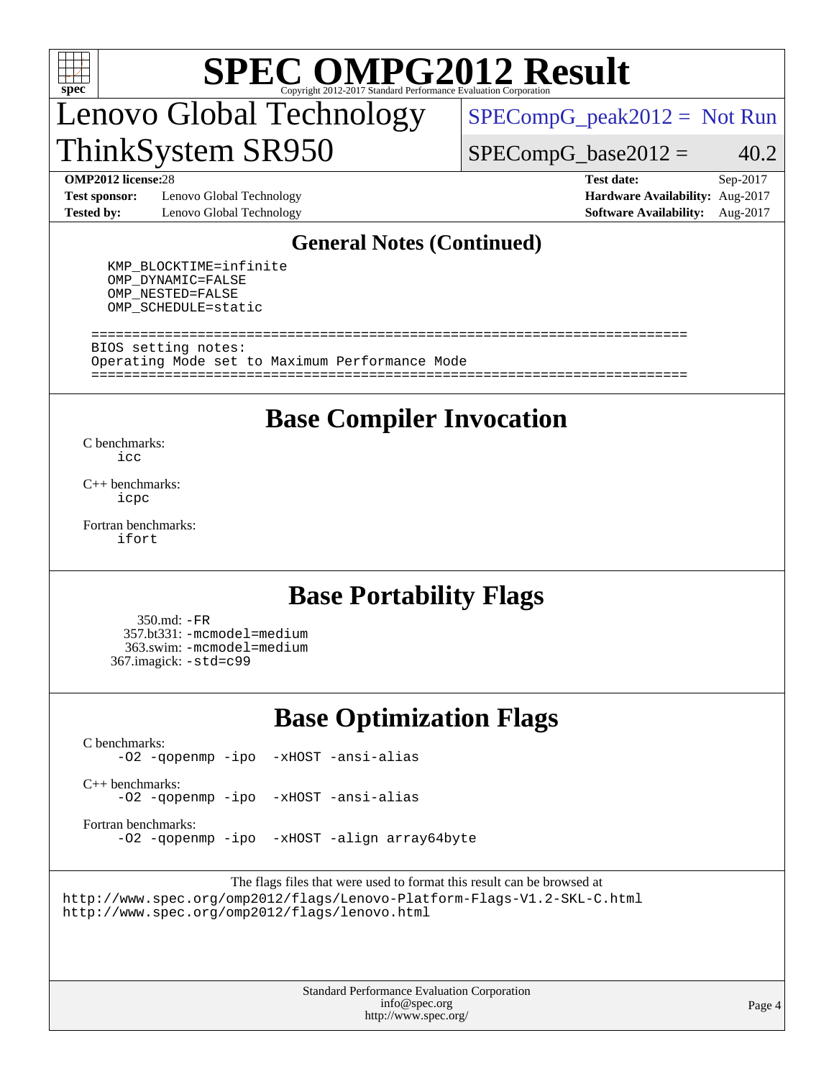

## Lenovo Global Technology ThinkSystem SR950

 $SPECompG_peak2012 = Not Run$  $SPECompG_peak2012 = Not Run$ 

 $SPECompG_base2012 = 40.2$  $SPECompG_base2012 = 40.2$ 

**[Test sponsor:](http://www.spec.org/auto/omp2012/Docs/result-fields.html#Testsponsor)** Lenovo Global Technology **[Hardware Availability:](http://www.spec.org/auto/omp2012/Docs/result-fields.html#HardwareAvailability)** Aug-2017 **[Tested by:](http://www.spec.org/auto/omp2012/Docs/result-fields.html#Testedby)** Lenovo Global Technology **[Software Availability:](http://www.spec.org/auto/omp2012/Docs/result-fields.html#SoftwareAvailability)** Aug-2017

**[OMP2012 license:](http://www.spec.org/auto/omp2012/Docs/result-fields.html#OMP2012license)**28 **[Test date:](http://www.spec.org/auto/omp2012/Docs/result-fields.html#Testdate)** Sep-2017

### **[General Notes \(Continued\)](http://www.spec.org/auto/omp2012/Docs/result-fields.html#GeneralNotes)**

 KMP\_BLOCKTIME=infinite OMP\_DYNAMIC=FALSE OMP\_NESTED=FALSE OMP\_SCHEDULE=static

 ========================================================================= BIOS setting notes: Operating Mode set to Maximum Performance Mode =========================================================================

### **[Base Compiler Invocation](http://www.spec.org/auto/omp2012/Docs/result-fields.html#BaseCompilerInvocation)**

[C benchmarks](http://www.spec.org/auto/omp2012/Docs/result-fields.html#Cbenchmarks): [icc](http://www.spec.org/omp2012/results/res2017q4/omp2012-20171011-00131.flags.html#user_CCbase_intel_icc_a87c68a857bc5ec5362391a49d3a37a6)

[C++ benchmarks:](http://www.spec.org/auto/omp2012/Docs/result-fields.html#CXXbenchmarks) [icpc](http://www.spec.org/omp2012/results/res2017q4/omp2012-20171011-00131.flags.html#user_CXXbase_intel_icpc_2d899f8d163502b12eb4a60069f80c1c)

[Fortran benchmarks](http://www.spec.org/auto/omp2012/Docs/result-fields.html#Fortranbenchmarks): [ifort](http://www.spec.org/omp2012/results/res2017q4/omp2012-20171011-00131.flags.html#user_FCbase_intel_ifort_8a5e5e06b19a251bdeaf8fdab5d62f20)

## **[Base Portability Flags](http://www.spec.org/auto/omp2012/Docs/result-fields.html#BasePortabilityFlags)**

 350.md: [-FR](http://www.spec.org/omp2012/results/res2017q4/omp2012-20171011-00131.flags.html#user_baseFPORTABILITY350_md_f-FR) 357.bt331: [-mcmodel=medium](http://www.spec.org/omp2012/results/res2017q4/omp2012-20171011-00131.flags.html#user_basePORTABILITY357_bt331_f-mcmodel_3a41622424bdd074c4f0f2d2f224c7e5) 363.swim: [-mcmodel=medium](http://www.spec.org/omp2012/results/res2017q4/omp2012-20171011-00131.flags.html#user_basePORTABILITY363_swim_f-mcmodel_3a41622424bdd074c4f0f2d2f224c7e5) 367.imagick: [-std=c99](http://www.spec.org/omp2012/results/res2017q4/omp2012-20171011-00131.flags.html#user_baseCPORTABILITY367_imagick_f-std_2ec6533b6e06f1c4a6c9b78d9e9cde24)

## **[Base Optimization Flags](http://www.spec.org/auto/omp2012/Docs/result-fields.html#BaseOptimizationFlags)**

[C benchmarks](http://www.spec.org/auto/omp2012/Docs/result-fields.html#Cbenchmarks): [-O2](http://www.spec.org/omp2012/results/res2017q4/omp2012-20171011-00131.flags.html#user_CCbase_f-O2) [-qopenmp](http://www.spec.org/omp2012/results/res2017q4/omp2012-20171011-00131.flags.html#user_CCbase_f-qopenmp) [-ipo](http://www.spec.org/omp2012/results/res2017q4/omp2012-20171011-00131.flags.html#user_CCbase_f-ipo_84062ab53814f613187d02344b8f49a7) [-xHOST](http://www.spec.org/omp2012/results/res2017q4/omp2012-20171011-00131.flags.html#user_CCbase_f-xHOST) [-ansi-alias](http://www.spec.org/omp2012/results/res2017q4/omp2012-20171011-00131.flags.html#user_CCbase_f-ansi-alias)

[C++ benchmarks:](http://www.spec.org/auto/omp2012/Docs/result-fields.html#CXXbenchmarks) [-O2](http://www.spec.org/omp2012/results/res2017q4/omp2012-20171011-00131.flags.html#user_CXXbase_f-O2) [-qopenmp](http://www.spec.org/omp2012/results/res2017q4/omp2012-20171011-00131.flags.html#user_CXXbase_f-qopenmp) [-ipo](http://www.spec.org/omp2012/results/res2017q4/omp2012-20171011-00131.flags.html#user_CXXbase_f-ipo_84062ab53814f613187d02344b8f49a7) [-xHOST](http://www.spec.org/omp2012/results/res2017q4/omp2012-20171011-00131.flags.html#user_CXXbase_f-xHOST) [-ansi-alias](http://www.spec.org/omp2012/results/res2017q4/omp2012-20171011-00131.flags.html#user_CXXbase_f-ansi-alias)

[Fortran benchmarks](http://www.spec.org/auto/omp2012/Docs/result-fields.html#Fortranbenchmarks): [-O2](http://www.spec.org/omp2012/results/res2017q4/omp2012-20171011-00131.flags.html#user_FCbase_f-O2) [-qopenmp](http://www.spec.org/omp2012/results/res2017q4/omp2012-20171011-00131.flags.html#user_FCbase_f-qopenmp) [-ipo](http://www.spec.org/omp2012/results/res2017q4/omp2012-20171011-00131.flags.html#user_FCbase_f-ipo_84062ab53814f613187d02344b8f49a7) [-xHOST](http://www.spec.org/omp2012/results/res2017q4/omp2012-20171011-00131.flags.html#user_FCbase_f-xHOST) [-align array64byte](http://www.spec.org/omp2012/results/res2017q4/omp2012-20171011-00131.flags.html#user_FCbase_f-align_c9377f996e966d652baaf753401d4725)

The flags files that were used to format this result can be browsed at <http://www.spec.org/omp2012/flags/Lenovo-Platform-Flags-V1.2-SKL-C.html> <http://www.spec.org/omp2012/flags/lenovo.html>

> Standard Performance Evaluation Corporation [info@spec.org](mailto:info@spec.org) <http://www.spec.org/>